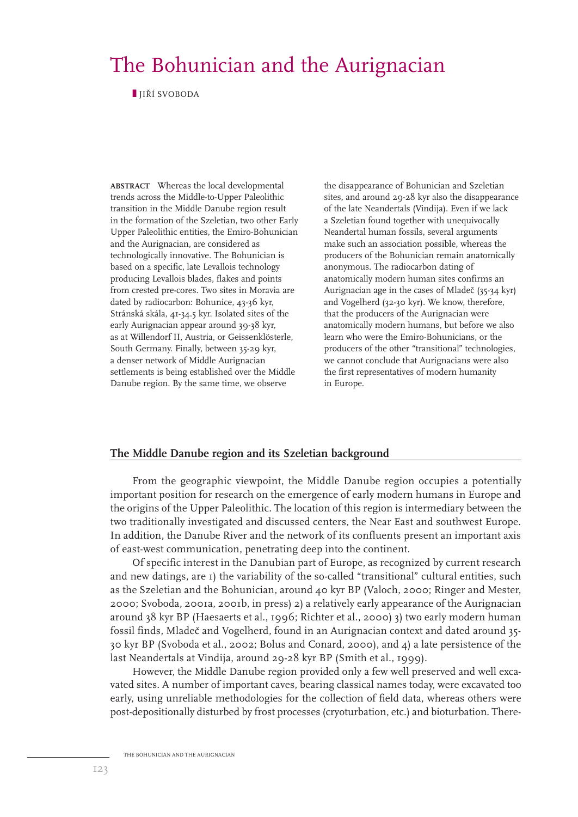# The Bohunician and the Aurignacian

### **I** JIŘÍ SVOBODA

**ABSTRACT** Whereas the local developmental trends across the Middle-to-Upper Paleolithic transition in the Middle Danube region result in the formation of the Szeletian, two other Early Upper Paleolithic entities, the Emiro-Bohunician and the Aurignacian, are considered as technologically innovative. The Bohunician is based on a specific, late Levallois technology producing Levallois blades, flakes and points from crested pre-cores. Two sites in Moravia are dated by radiocarbon: Bohunice, 43-36 kyr, Stránská skála, 41-34.5 kyr. Isolated sites of the early Aurignacian appear around 39-38 kyr, as at Willendorf II, Austria, or Geissenklösterle, South Germany. Finally, between 35-29 kyr, a denser network of Middle Aurignacian settlements is being established over the Middle Danube region. By the same time, we observe

the disappearance of Bohunician and Szeletian sites, and around 29-28 kyr also the disappearance of the late Neandertals (Vindija). Even if we lack a Szeletian found together with unequivocally Neandertal human fossils, several arguments make such an association possible, whereas the producers of the Bohunician remain anatomically anonymous. The radiocarbon dating of anatomically modern human sites confirms an Aurignacian age in the cases of Mladeč (35-34 kyr) and Vogelherd (32-30 kyr). We know, therefore, that the producers of the Aurignacian were anatomically modern humans, but before we also learn who were the Emiro-Bohunicians, or the producers of the other "transitional" technologies, we cannot conclude that Aurignacians were also the first representatives of modern humanity in Europe.

## **The Middle Danube region and its Szeletian background**

From the geographic viewpoint, the Middle Danube region occupies a potentially important position for research on the emergence of early modern humans in Europe and the origins of the Upper Paleolithic. The location of this region is intermediary between the two traditionally investigated and discussed centers, the Near East and southwest Europe. In addition, the Danube River and the network of its confluents present an important axis of east-west communication, penetrating deep into the continent.

Of specific interest in the Danubian part of Europe, as recognized by current research and new datings, are 1) the variability of the so-called "transitional" cultural entities, such as the Szeletian and the Bohunician, around 40 kyr BP (Valoch, 2000; Ringer and Mester, 2000; Svoboda, 2001a, 2001b, in press) 2) a relatively early appearance of the Aurignacian around 38 kyr BP (Haesaerts et al., 1996; Richter et al., 2000) 3) two early modern human fossil finds, Mladeč and Vogelherd, found in an Aurignacian context and dated around 35-30 kyr BP (Svoboda et al., 2002; Bolus and Conard, 2000), and 4) a late persistence of the last Neandertals at Vindija, around 29-28 kyr BP (Smith et al., 1999).

However, the Middle Danube region provided only a few well preserved and well excavated sites. A number of important caves, bearing classical names today, were excavated too early, using unreliable methodologies for the collection of field data, whereas others were post-depositionally disturbed by frost processes (cryoturbation, etc.) and bioturbation. There-

THE BOHUNICIAN AND THE AURIGNACIAN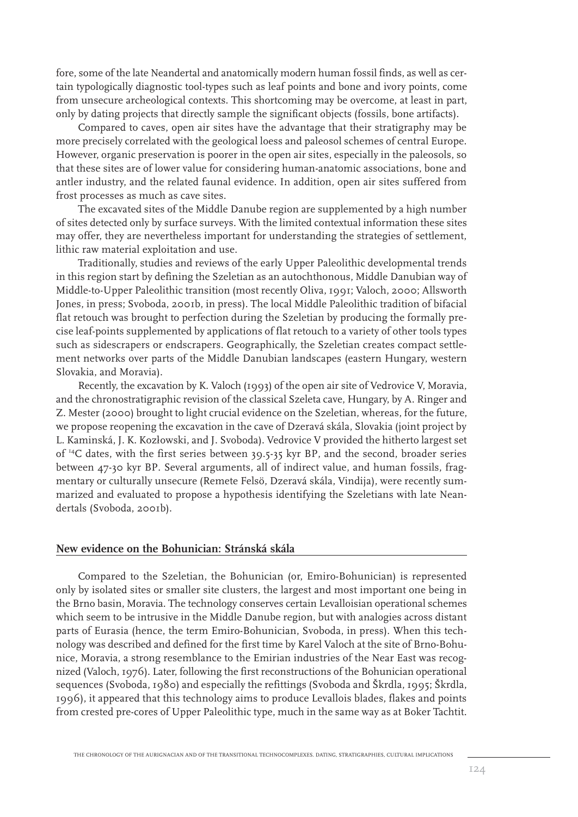fore, some of the late Neandertal and anatomically modern human fossil finds, as well as certain typologically diagnostic tool-types such as leaf points and bone and ivory points, come from unsecure archeological contexts. This shortcoming may be overcome, at least in part, only by dating projects that directly sample the significant objects (fossils, bone artifacts).

Compared to caves, open air sites have the advantage that their stratigraphy may be more precisely correlated with the geological loess and paleosol schemes of central Europe. However, organic preservation is poorer in the open air sites, especially in the paleosols, so that these sites are of lower value for considering human-anatomic associations, bone and antler industry, and the related faunal evidence. In addition, open air sites suffered from frost processes as much as cave sites.

The excavated sites of the Middle Danube region are supplemented by a high number of sites detected only by surface surveys. With the limited contextual information these sites may offer, they are nevertheless important for understanding the strategies of settlement, lithic raw material exploitation and use.

Traditionally, studies and reviews of the early Upper Paleolithic developmental trends in this region start by defining the Szeletian as an autochthonous, Middle Danubian way of Middle-to-Upper Paleolithic transition (most recently Oliva, 1991; Valoch, 2000; Allsworth Jones, in press; Svoboda, 2001b, in press). The local Middle Paleolithic tradition of bifacial flat retouch was brought to perfection during the Szeletian by producing the formally precise leaf-points supplemented by applications of flat retouch to a variety of other tools types such as sidescrapers or endscrapers. Geographically, the Szeletian creates compact settlement networks over parts of the Middle Danubian landscapes (eastern Hungary, western Slovakia, and Moravia).

Recently, the excavation by K. Valoch (1993) of the open air site of Vedrovice V, Moravia, and the chronostratigraphic revision of the classical Szeleta cave, Hungary, by A. Ringer and Z. Mester (2000) brought to light crucial evidence on the Szeletian, whereas, for the future, we propose reopening the excavation in the cave of Dzeravá skála, Slovakia (joint project by L. Kaminská, J. K. Kozłowski, and J. Svoboda). Vedrovice V provided the hitherto largest set of 14C dates, with the first series between 39.5-35 kyr BP, and the second, broader series between 47-30 kyr BP. Several arguments, all of indirect value, and human fossils, fragmentary or culturally unsecure (Remete Felsö, Dzeravá skála, Vindija), were recently summarized and evaluated to propose a hypothesis identifying the Szeletians with late Neandertals (Svoboda, 2001b).

#### **New evidence on the Bohunician: Stránská skála**

Compared to the Szeletian, the Bohunician (or, Emiro-Bohunician) is represented only by isolated sites or smaller site clusters, the largest and most important one being in the Brno basin, Moravia. The technology conserves certain Levalloisian operational schemes which seem to be intrusive in the Middle Danube region, but with analogies across distant parts of Eurasia (hence, the term Emiro-Bohunician, Svoboda, in press). When this technology was described and defined for the first time by Karel Valoch at the site of Brno-Bohunice, Moravia, a strong resemblance to the Emirian industries of the Near East was recognized (Valoch, 1976). Later, following the first reconstructions of the Bohunician operational ^ ^sequences (Svoboda, 1980) and especially the refittings (Svoboda and Škrdla, 1995; Škrdla, 1996), it appeared that this technology aims to produce Levallois blades, flakes and points from crested pre-cores of Upper Paleolithic type, much in the same way as at Boker Tachtit.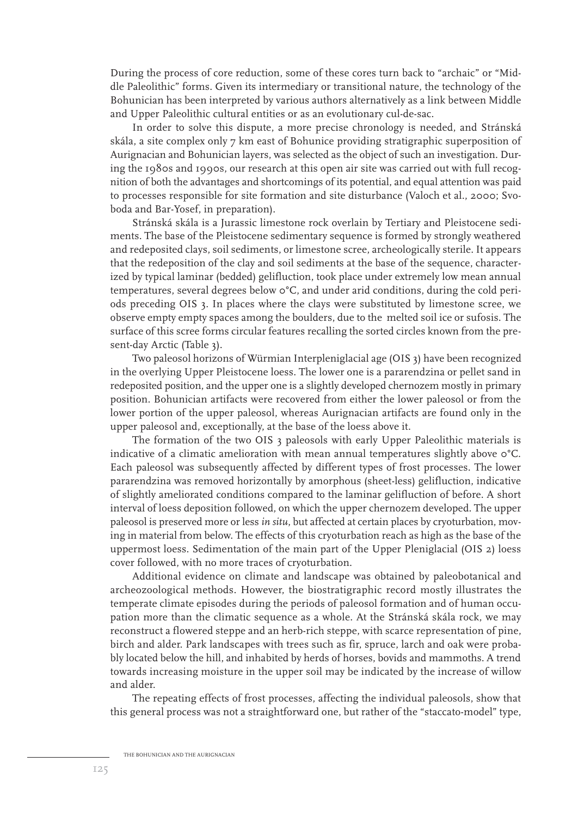During the process of core reduction, some of these cores turn back to "archaic" or "Middle Paleolithic" forms. Given its intermediary or transitional nature, the technology of the Bohunician has been interpreted by various authors alternatively as a link between Middle and Upper Paleolithic cultural entities or as an evolutionary cul-de-sac.

In order to solve this dispute, a more precise chronology is needed, and Stránská skála, a site complex only 7 km east of Bohunice providing stratigraphic superposition of Aurignacian and Bohunician layers, was selected as the object of such an investigation. During the 1980s and 1990s, our research at this open air site was carried out with full recognition of both the advantages and shortcomings of its potential, and equal attention was paid to processes responsible for site formation and site disturbance (Valoch et al., 2000; Svoboda and Bar-Yosef, in preparation).

Stránská skála is a Jurassic limestone rock overlain by Tertiary and Pleistocene sediments. The base of the Pleistocene sedimentary sequence is formed by strongly weathered and redeposited clays, soil sediments, or limestone scree, archeologically sterile. It appears that the redeposition of the clay and soil sediments at the base of the sequence, characterized by typical laminar (bedded) gelifluction, took place under extremely low mean annual temperatures, several degrees below 0°C, and under arid conditions, during the cold periods preceding OIS 3. In places where the clays were substituted by limestone scree, we observe empty empty spaces among the boulders, due to the melted soil ice or sufosis. The surface of this scree forms circular features recalling the sorted circles known from the present-day Arctic (Table 3).

Two paleosol horizons of Würmian Interpleniglacial age (OIS 3) have been recognized in the overlying Upper Pleistocene loess. The lower one is a pararendzina or pellet sand in redeposited position, and the upper one is a slightly developed chernozem mostly in primary position. Bohunician artifacts were recovered from either the lower paleosol or from the lower portion of the upper paleosol, whereas Aurignacian artifacts are found only in the upper paleosol and, exceptionally, at the base of the loess above it.

The formation of the two OIS 3 paleosols with early Upper Paleolithic materials is indicative of a climatic amelioration with mean annual temperatures slightly above  $\circ^{\circ}C$ . Each paleosol was subsequently affected by different types of frost processes. The lower pararendzina was removed horizontally by amorphous (sheet-less) gelifluction, indicative of slightly ameliorated conditions compared to the laminar gelifluction of before. A short interval of loess deposition followed, on which the upper chernozem developed. The upper paleosol is preserved more or less *in situ*, but affected at certain places by cryoturbation, moving in material from below. The effects of this cryoturbation reach as high as the base of the uppermost loess. Sedimentation of the main part of the Upper Pleniglacial (OIS 2) loess cover followed, with no more traces of cryoturbation.

Additional evidence on climate and landscape was obtained by paleobotanical and archeozoological methods. However, the biostratigraphic record mostly illustrates the temperate climate episodes during the periods of paleosol formation and of human occupation more than the climatic sequence as a whole. At the Stránská skála rock, we may reconstruct a flowered steppe and an herb-rich steppe, with scarce representation of pine, birch and alder. Park landscapes with trees such as fir, spruce, larch and oak were probably located below the hill, and inhabited by herds of horses, bovids and mammoths. A trend towards increasing moisture in the upper soil may be indicated by the increase of willow and alder.

The repeating effects of frost processes, affecting the individual paleosols, show that this general process was not a straightforward one, but rather of the "staccato-model" type,

THE BOHUNICIAN AND THE AURIGNACIAN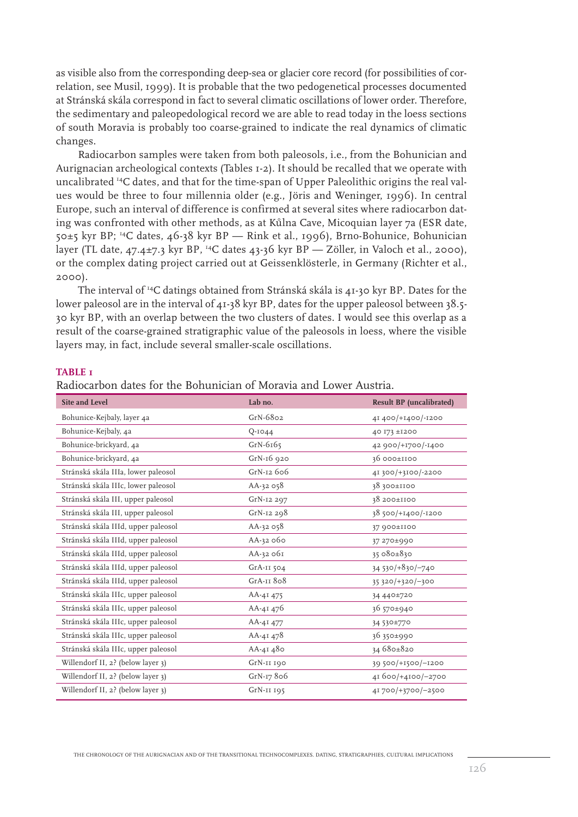as visible also from the corresponding deep-sea or glacier core record (for possibilities of correlation, see Musil, 1999). It is probable that the two pedogenetical processes documented at Stránská skála correspond in fact to several climatic oscillations of lower order. Therefore, the sedimentary and paleopedological record we are able to read today in the loess sections of south Moravia is probably too coarse-grained to indicate the real dynamics of climatic changes.

Radiocarbon samples were taken from both paleosols, i.e., from the Bohunician and Aurignacian archeological contexts (Tables 1-2). It should be recalled that we operate with uncalibrated 14C dates, and that for the time-span of Upper Paleolithic origins the real values would be three to four millennia older (e.g., Jöris and Weninger, 1996). In central Europe, such an interval of difference is confirmed at several sites where radiocarbon dating was confronted with other methods, as at Kůlna Cave, Micoquian layer 7a (ESR date, 50±5 kyr BP; 14C dates, 46-38 kyr BP — Rink et al., 1996), Brno-Bohunice, Bohunician layer (TL date, 47.4±7.3 kyr BP, 14C dates 43-36 kyr BP — Zöller, in Valoch et al., 2000), or the complex dating project carried out at Geissenklösterle, in Germany (Richter et al., 2000).

The interval of 14C datings obtained from Stránská skála is 41-30 kyr BP. Dates for the lower paleosol are in the interval of 41-38 kyr BP, dates for the upper paleosol between 38.5-30 kyr BP, with an overlap between the two clusters of dates. I would see this overlap as a result of the coarse-grained stratigraphic value of the paleosols in loess, where the visible layers may, in fact, include several smaller-scale oscillations.

#### **TABLE 1**

| <b>Site and Level</b>               | Lab no.      | <b>Result BP</b> (uncalibrated) |
|-------------------------------------|--------------|---------------------------------|
| Bohunice-Kejbaly, layer 4a          | $GrN-6802$   | 41 400/+1400/-1200              |
| Bohunice-Kejbaly, 4a                | $Q-IO44$     | 40 173 ±1200                    |
| Bohunice-brickyard, 4a              | $GrN-6165$   | 42 900/+1700/-1400              |
| Bohunice-brickyard, 4a              | GrN-16 920   | $36000 \pm 1100$                |
| Stránská skála IIIa, lower paleosol | GrN-12 606   | 41300/+3100/-2200               |
| Stránská skála IIIc, lower paleosol | AA-32 058    | 38 300±1100                     |
| Stránská skála III, upper paleosol  | GrN-12 297   | 38 200±II00                     |
| Stránská skála III, upper paleosol  | GrN-12 298   | 38 500/+1400/-1200              |
| Stránská skála IIId, upper paleosol | AA-32 058    | 37 900±II00                     |
| Stránská skála IIId, upper paleosol | AA-32 060    | 37 270±990                      |
| Stránská skála IIId, upper paleosol | AA-32 061    | 35 080±830                      |
| Stránská skála IIId, upper paleosol | $GrA-II$ 504 | 34 530/+830/-740                |
| Stránská skála IIId, upper paleosol | $GrA-II$ 808 | 35 320/+320/-300                |
| Stránská skála IIIc, upper paleosol | AA-41 475    | 34 440±720                      |
| Stránská skála IIIc, upper paleosol | AA-41 476    | 36 570±940                      |
| Stránská skála IIIc, upper paleosol | AA-41 477    | 34 530±770                      |
| Stránská skála IIIc, upper paleosol | AA-41 478    | 36350±990                       |
| Stránská skála IIIc, upper paleosol | AA-41 480    | 34 680±820                      |
| Willendorf II, 2? (below layer 3)   | $GrN-II$ 190 | 39 500/+1500/-1200              |
| Willendorf II, 2? (below layer 3)   | GrN-17 806   | 41 600/+4100/–2700              |
| Willendorf II, 2? (below layer 3)   | $GrN-II$ 195 | 41 700/+3700/-2500              |

Radiocarbon dates for the Bohunician of Moravia and Lower Austria.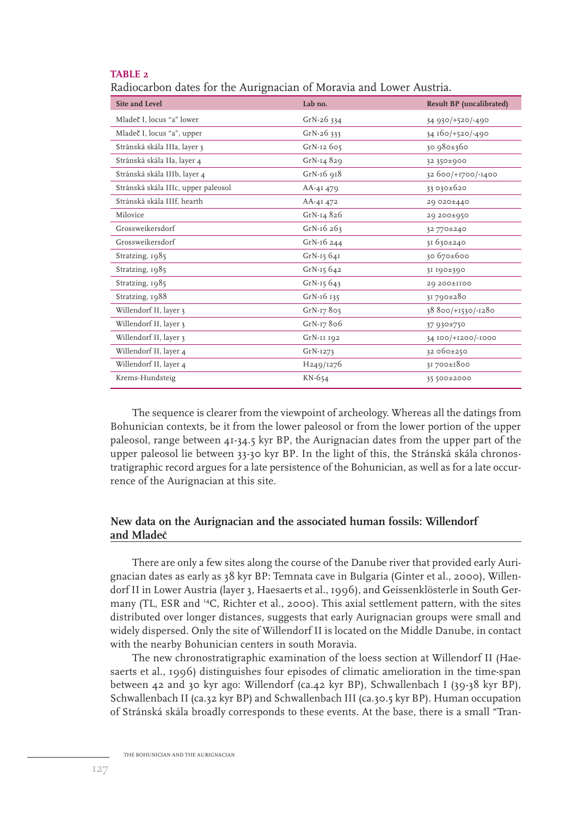## **TABLE 2**

Radiocarbon dates for the Aurignacian of Moravia and Lower Austria.

| Site and Level                      | Lab no.                | <b>Result BP</b> (uncalibrated) |  |
|-------------------------------------|------------------------|---------------------------------|--|
| Mladeč I, locus "a" lower           | GrN-26 334             | 34 930/+520/-490                |  |
| Mladeč I, locus "a", upper          | GrN-26 333             | 34 160/+520/-490                |  |
| Stránská skála IIIa, layer 3        | GrN-12 605             | 30 980±360                      |  |
| Stránská skála IIa, layer 4         | $GrN-14829$            | 32 350±900                      |  |
| Stránská skála IIIb, layer 4        | $GrN-16918$            | 32 600/+1700/-1400              |  |
| Stránská skála IIIc, upper paleosol | AA-41 479              | 33 030±620                      |  |
| Stránská skála IIIf, hearth         | AA-41 472              | 29 020±440                      |  |
| Milovice                            | $GrN-14826$            | 29 200±950                      |  |
| Grossweikersdorf                    | $GrN-16263$            | 32 770±240                      |  |
| Grossweikersdorf                    | $GrN-16244$            | $31630 \pm 240$                 |  |
| Stratzing, 1985                     | $GrN-15641$            | 30 б70±б00                      |  |
| Stratzing, 1985                     | $GrN-15642$            | 3I 190±390                      |  |
| Stratzing, 1985                     | $GrN-15643$            | 29 200±II00                     |  |
| Stratzing, 1988                     | GrN-16 135             | 31790±280                       |  |
| Willendorf II, layer 3              | $GrN-17805$            | 38 800/+1530/-1280              |  |
| Willendorf II, layer 3              | $GrN-17806$            | 37 930±750                      |  |
| Willendorf II, layer 3              | $GrN-II$ 192           | 34 100/+1200/-1000              |  |
| Willendorf II, layer 4              | $GrN-1273$             | 32 060±250                      |  |
| Willendorf II, layer 4              | H <sub>249</sub> /1276 | 31700±1800                      |  |
| Krems-Hundsteig                     | $KN-654$               | 35 500±2000                     |  |

The sequence is clearer from the viewpoint of archeology. Whereas all the datings from Bohunician contexts, be it from the lower paleosol or from the lower portion of the upper paleosol, range between 41-34.5 kyr BP, the Aurignacian dates from the upper part of the upper paleosol lie between 33-30 kyr BP. In the light of this, the Stránská skála chronostratigraphic record argues for a late persistence of the Bohunician, as well as for a late occurrence of the Aurignacian at this site.

## **New data on the Aurignacian and the associated human fossils: Willendorf and Mladec** ^

There are only a few sites along the course of the Danube river that provided early Aurignacian dates as early as 38 kyr BP: Temnata cave in Bulgaria (Ginter et al., 2000), Willendorf II in Lower Austria (layer 3, Haesaerts et al., 1996), and Geissenklösterle in South Germany (TL, ESR and 14C, Richter et al., 2000). This axial settlement pattern, with the sites distributed over longer distances, suggests that early Aurignacian groups were small and widely dispersed. Only the site of Willendorf II is located on the Middle Danube, in contact with the nearby Bohunician centers in south Moravia.

The new chronostratigraphic examination of the loess section at Willendorf II (Haesaerts et al., 1996) distinguishes four episodes of climatic amelioration in the time-span between 42 and 30 kyr ago: Willendorf (ca.42 kyr BP), Schwallenbach I (39-38 kyr BP), Schwallenbach II (ca.32 kyr BP) and Schwallenbach III (ca.30.5 kyr BP). Human occupation of Stránská skála broadly corresponds to these events. At the base, there is a small "Tran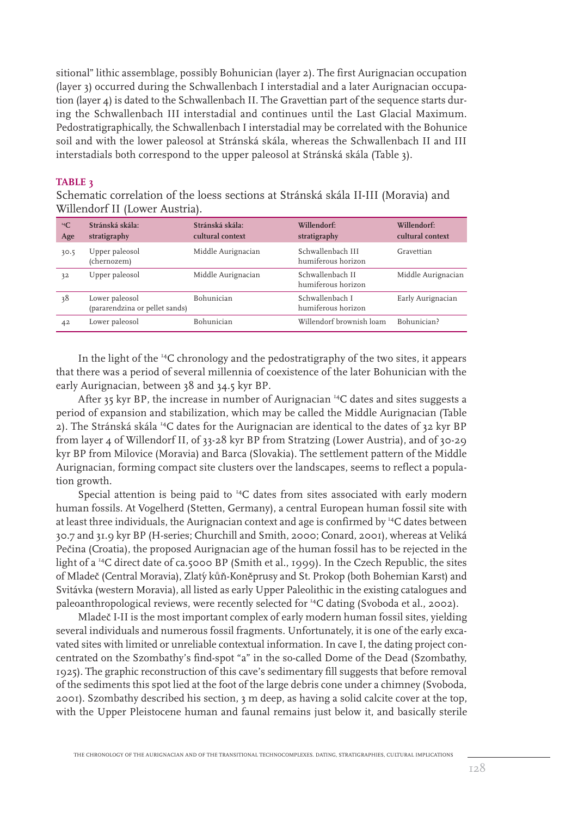sitional" lithic assemblage, possibly Bohunician (layer 2). The first Aurignacian occupation (layer 3) occurred during the Schwallenbach I interstadial and a later Aurignacian occupation (layer 4) is dated to the Schwallenbach II. The Gravettian part of the sequence starts during the Schwallenbach III interstadial and continues until the Last Glacial Maximum. Pedostratigraphically, the Schwallenbach I interstadial may be correlated with the Bohunice soil and with the lower paleosol at Stránská skála, whereas the Schwallenbach II and III interstadials both correspond to the upper paleosol at Stránská skála (Table 3).

#### **TABLE 3**

Schematic correlation of the loess sections at Stránská skála II-III (Moravia) and Willendorf II (Lower Austria).

| $^{14}C$<br>Age | Stránská skála:<br>stratigraphy                  | Stránská skála:<br>cultural context | Willendorf:<br>stratigraphy             | Willendorf:<br>cultural context |
|-----------------|--------------------------------------------------|-------------------------------------|-----------------------------------------|---------------------------------|
| 30.5            | Upper paleosol<br>(chernozem)                    | Middle Aurignacian                  | Schwallenbach III<br>humiferous horizon | Gravettian                      |
| 32              | Upper paleosol                                   | Middle Aurignacian                  | Schwallenbach II<br>humiferous horizon  | Middle Aurignacian              |
| 38              | Lower paleosol<br>(pararendzina or pellet sands) | <b>Bohunician</b>                   | Schwallenbach I<br>humiferous horizon   | Early Aurignacian               |
| 42              | Lower paleosol                                   | <b>Bohunician</b>                   | Willendorf brownish loam                | Bohunician?                     |

In the light of the  $^{14}C$  chronology and the pedostratigraphy of the two sites, it appears that there was a period of several millennia of coexistence of the later Bohunician with the early Aurignacian, between 38 and 34.5 kyr BP.

After 35 kyr BP, the increase in number of Aurignacian 14C dates and sites suggests a period of expansion and stabilization, which may be called the Middle Aurignacian (Table 2). The Stránská skála 14C dates for the Aurignacian are identical to the dates of 32 kyr BP from layer 4 of Willendorf II, of 33-28 kyr BP from Stratzing (Lower Austria), and of 30-29 kyr BP from Milovice (Moravia) and Barca (Slovakia). The settlement pattern of the Middle Aurignacian, forming compact site clusters over the landscapes, seems to reflect a population growth.

Special attention is being paid to <sup>14</sup>C dates from sites associated with early modern human fossils. At Vogelherd (Stetten, Germany), a central European human fossil site with at least three individuals, the Aurignacian context and age is confirmed by <sup>14</sup>C dates between 30.7 and 31.9 kyr BP (H-series; Churchill and Smith, 2000; Conard, 2001), whereas at Veliká Pecina (Croatia), the proposed Aurignacian age of the human fossil has to be rejected in the ^ light of a <sup>14</sup>C direct date of ca.5000 BP (Smith et al., 1999). In the Czech Republic, the sites of Mladeč (Central Moravia), Zlatý kůň-Koněprusy and St. Prokop (both Bohemian Karst) and Svitávka (western Moravia), all listed as early Upper Paleolithic in the existing catalogues and paleoanthropological reviews, were recently selected for 14C dating (Svoboda et al., 2002).

Mladec I-II is the most important complex of early modern human fossil sites, yielding ^ several individuals and numerous fossil fragments. Unfortunately, it is one of the early excavated sites with limited or unreliable contextual information. In cave I, the dating project concentrated on the Szombathy's find-spot "a" in the so-called Dome of the Dead (Szombathy, 1925). The graphic reconstruction of this cave's sedimentary fill suggests that before removal of the sediments this spot lied at the foot of the large debris cone under a chimney (Svoboda, 2001). Szombathy described his section, 3 m deep, as having a solid calcite cover at the top, with the Upper Pleistocene human and faunal remains just below it, and basically sterile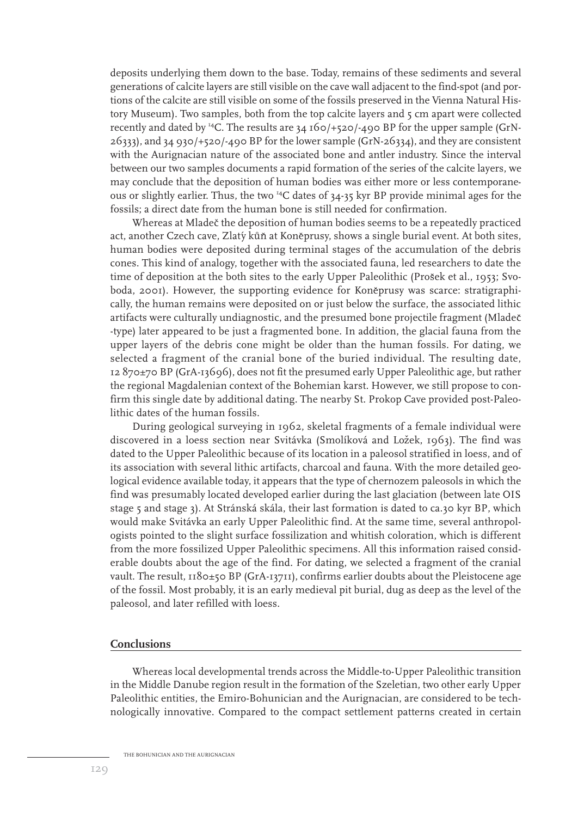deposits underlying them down to the base. Today, remains of these sediments and several generations of calcite layers are still visible on the cave wall adjacent to the find-spot (and portions of the calcite are still visible on some of the fossils preserved in the Vienna Natural History Museum). Two samples, both from the top calcite layers and 5 cm apart were collected recently and dated by 14C. The results are 34 160/+520/-490 BP for the upper sample (GrN-26333), and 34 930/+520/-490 BP for the lower sample (GrN-26334), and they are consistent with the Aurignacian nature of the associated bone and antler industry. Since the interval between our two samples documents a rapid formation of the series of the calcite layers, we may conclude that the deposition of human bodies was either more or less contemporaneous or slightly earlier. Thus, the two 14C dates of 34-35 kyr BP provide minimal ages for the fossils; a direct date from the human bone is still needed for confirmation.

Whereas at Mladec the deposition of human bodies seems to be a repeatedly practiced ^ act, another Czech cave, Zlatý kůň at Koněprusy, shows a single burial event. At both sites, human bodies were deposited during terminal stages of the accumulation of the debris cones. This kind of analogy, together with the associated fauna, led researchers to date the time of deposition at the both sites to the early Upper Paleolithic (Prošek et al., 1953; Svoboda, 2001). However, the supporting evidence for Koněprusy was scarce: stratigraphically, the human remains were deposited on or just below the surface, the associated lithic artifacts were culturally undiagnostic, and the presumed bone projectile fragment (Mladeč -type) later appeared to be just a fragmented bone. In addition, the glacial fauna from the upper layers of the debris cone might be older than the human fossils. For dating, we selected a fragment of the cranial bone of the buried individual. The resulting date, 12 870±70 BP (GrA-13696), does not fit the presumed early Upper Paleolithic age, but rather the regional Magdalenian context of the Bohemian karst. However, we still propose to confirm this single date by additional dating. The nearby St. Prokop Cave provided post-Paleolithic dates of the human fossils.

During geological surveying in 1962, skeletal fragments of a female individual were discovered in a loess section near Svitávka (Smolíková and Ložek, 1963). The find was dated to the Upper Paleolithic because of its location in a paleosol stratified in loess, and of its association with several lithic artifacts, charcoal and fauna. With the more detailed geological evidence available today, it appears that the type of chernozem paleosols in which the find was presumably located developed earlier during the last glaciation (between late OIS stage 5 and stage 3). At Stránská skála, their last formation is dated to ca.30 kyr BP, which would make Svitávka an early Upper Paleolithic find. At the same time, several anthropologists pointed to the slight surface fossilization and whitish coloration, which is different from the more fossilized Upper Paleolithic specimens. All this information raised considerable doubts about the age of the find. For dating, we selected a fragment of the cranial vault. The result, 1180±50 BP (GrA-13711), confirms earlier doubts about the Pleistocene age of the fossil. Most probably, it is an early medieval pit burial, dug as deep as the level of the paleosol, and later refilled with loess.

## **Conclusions**

Whereas local developmental trends across the Middle-to-Upper Paleolithic transition in the Middle Danube region result in the formation of the Szeletian, two other early Upper Paleolithic entities, the Emiro-Bohunician and the Aurignacian, are considered to be technologically innovative. Compared to the compact settlement patterns created in certain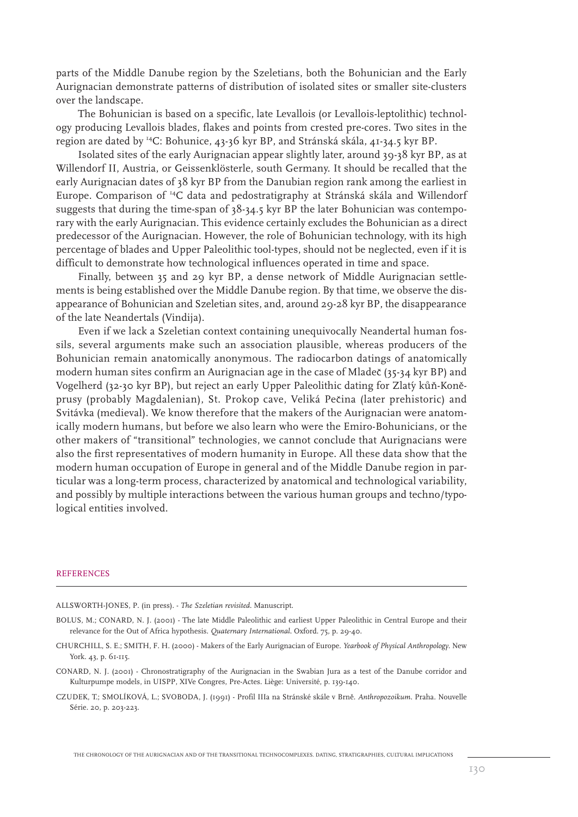parts of the Middle Danube region by the Szeletians, both the Bohunician and the Early Aurignacian demonstrate patterns of distribution of isolated sites or smaller site-clusters over the landscape.

The Bohunician is based on a specific, late Levallois (or Levallois-leptolithic) technology producing Levallois blades, flakes and points from crested pre-cores. Two sites in the region are dated by 14C: Bohunice, 43-36 kyr BP, and Stránská skála, 41-34.5 kyr BP.

Isolated sites of the early Aurignacian appear slightly later, around 39-38 kyr BP, as at Willendorf II, Austria, or Geissenklösterle, south Germany. It should be recalled that the early Aurignacian dates of 38 kyr BP from the Danubian region rank among the earliest in Europe. Comparison of 14C data and pedostratigraphy at Stránská skála and Willendorf suggests that during the time-span of 38-34.5 kyr BP the later Bohunician was contemporary with the early Aurignacian. This evidence certainly excludes the Bohunician as a direct predecessor of the Aurignacian. However, the role of Bohunician technology, with its high percentage of blades and Upper Paleolithic tool-types, should not be neglected, even if it is difficult to demonstrate how technological influences operated in time and space.

Finally, between 35 and 29 kyr BP, a dense network of Middle Aurignacian settlements is being established over the Middle Danube region. By that time, we observe the disappearance of Bohunician and Szeletian sites, and, around 29-28 kyr BP, the disappearance of the late Neandertals (Vindija).

Even if we lack a Szeletian context containing unequivocally Neandertal human fossils, several arguments make such an association plausible, whereas producers of the Bohunician remain anatomically anonymous. The radiocarbon datings of anatomically modern human sites confirm an Aurignacian age in the case of Mladeč (35-34 kyr BP) and Vogelherd (32-30 kyr BP), but reject an early Upper Paleolithic dating for Zlatý kůň-Koněprusy (probably Magdalenian), St. Prokop cave, Veliká Pečina (later prehistoric) and Svitávka (medieval). We know therefore that the makers of the Aurignacian were anatomically modern humans, but before we also learn who were the Emiro-Bohunicians, or the other makers of "transitional" technologies, we cannot conclude that Aurignacians were also the first representatives of modern humanity in Europe. All these data show that the modern human occupation of Europe in general and of the Middle Danube region in particular was a long-term process, characterized by anatomical and technological variability, and possibly by multiple interactions between the various human groups and techno/typological entities involved.

#### **REFERENCES**

ALLSWORTH-JONES, P. (in press). - *The Szeletian revisited*. Manuscript.

- BOLUS, M.; CONARD, N. J. (2001) The late Middle Paleolithic and earliest Upper Paleolithic in Central Europe and their relevance for the Out of Africa hypothesis. *Quaternary International*. Oxford. 75, p. 29-40.
- CHURCHILL, S. E.; SMITH, F. H. (2000) Makers of the Early Aurignacian of Europe. *Yearbook of Physical Anthropology*. New York. 43, p. 61-115.
- CONARD, N. J. (2001) Chronostratigraphy of the Aurignacian in the Swabian Jura as a test of the Danube corridor and Kulturpumpe models, in UISPP, XIVe Congres, Pre-Actes. Liège: Université, p. 139-140.
- CZUDEK, T.; SMOLÍKOVÁ, L.; SVOBODA, J. (1991) Profil IIIa na Stránské skále v Brne. *Anthropozoikum*. Praha. Nouvelle ^Série. 20, p. 203-223.

THE CHRONOLOGY OF THE AURIGNACIAN AND OF THE TRANSITIONAL TECHNOCOMPLEXES. DATING, STRATIGRAPHIES, CULTURAL IMPLICATIONS